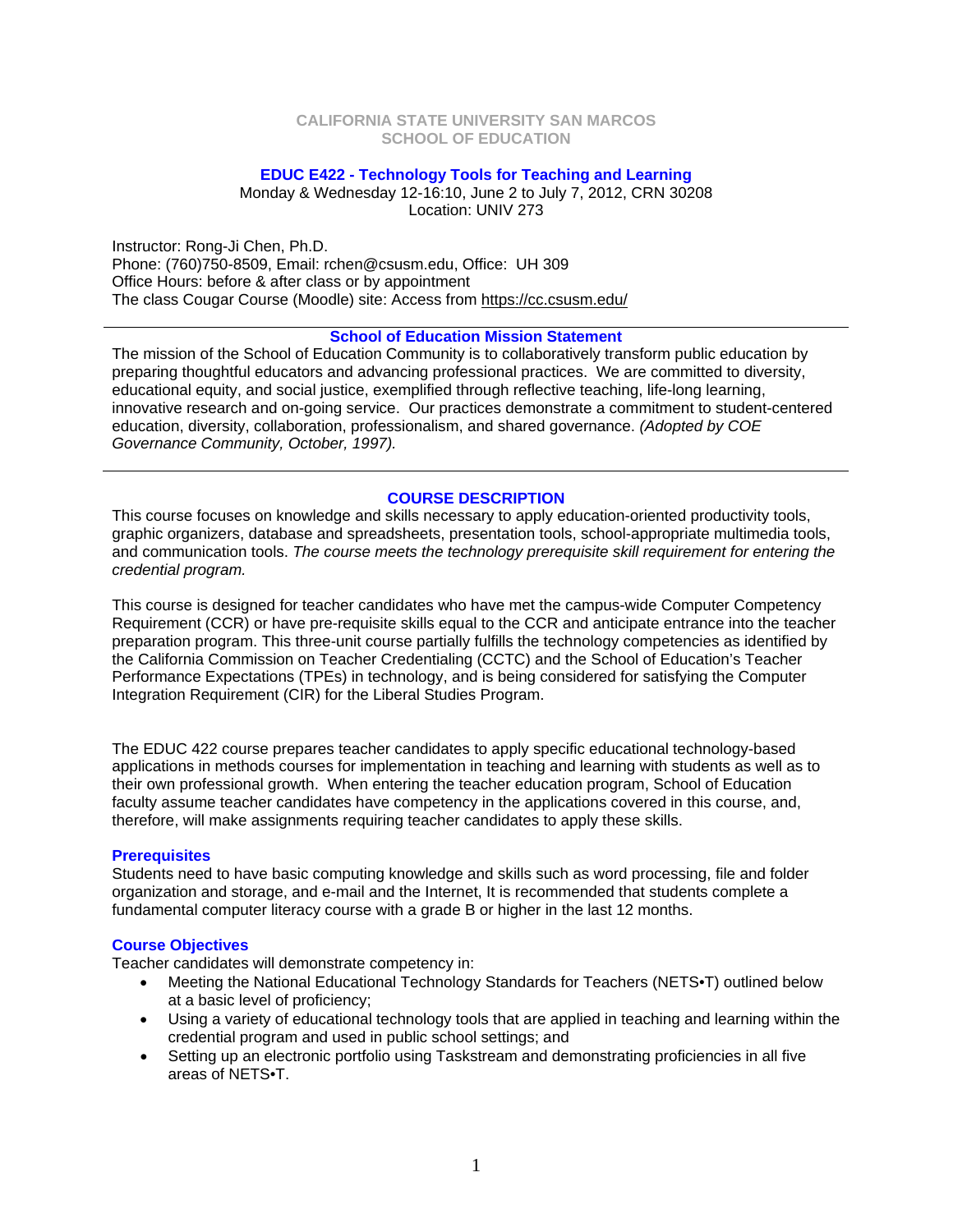#### **CALIFORNIA STATE UNIVERSITY SAN MARCOS SCHOOL OF EDUCATION**

# **EDUC E422 - Technology Tools for Teaching and Learning**

Monday & Wednesday 12-16:10, June 2 to July 7, 2012, CRN 30208 Location: UNIV 273

Instructor: Rong-Ji Chen, Ph.D. Phone: (760)750-8509, Email: rchen@csusm.edu, Office: UH 309 Office Hours: before & after class or by appointment The class Cougar Course (Moodle) site: Access from https://cc.csusm.edu/

# **School of Education Mission Statement**

The mission of the School of Education Community is to collaboratively transform public education by preparing thoughtful educators and advancing professional practices. We are committed to diversity, educational equity, and social justice, exemplified through reflective teaching, life-long learning, innovative research and on-going service. Our practices demonstrate a commitment to student-centered education, diversity, collaboration, professionalism, and shared governance. *(Adopted by COE Governance Community, October, 1997).* 

#### **COURSE DESCRIPTION**

This course focuses on knowledge and skills necessary to apply education-oriented productivity tools, graphic organizers, database and spreadsheets, presentation tools, school-appropriate multimedia tools, and communication tools. *The course meets the technology prerequisite skill requirement for entering the credential program.* 

This course is designed for teacher candidates who have met the campus-wide Computer Competency Requirement (CCR) or have pre-requisite skills equal to the CCR and anticipate entrance into the teacher preparation program. This three-unit course partially fulfills the technology competencies as identified by the California Commission on Teacher Credentialing (CCTC) and the School of Education's Teacher Performance Expectations (TPEs) in technology, and is being considered for satisfying the Computer Integration Requirement (CIR) for the Liberal Studies Program.

The EDUC 422 course prepares teacher candidates to apply specific educational technology-based applications in methods courses for implementation in teaching and learning with students as well as to their own professional growth. When entering the teacher education program, School of Education faculty assume teacher candidates have competency in the applications covered in this course, and, therefore, will make assignments requiring teacher candidates to apply these skills.

#### **Prerequisites**

Students need to have basic computing knowledge and skills such as word processing, file and folder organization and storage, and e-mail and the Internet, It is recommended that students complete a fundamental computer literacy course with a grade B or higher in the last 12 months.

#### **Course Objectives**

Teacher candidates will demonstrate competency in:

- Meeting the National Educational Technology Standards for Teachers (NETS•T) outlined below at a basic level of proficiency;
- Using a variety of educational technology tools that are applied in teaching and learning within the credential program and used in public school settings; and
- Setting up an electronic portfolio using Taskstream and demonstrating proficiencies in all five areas of NETS•T.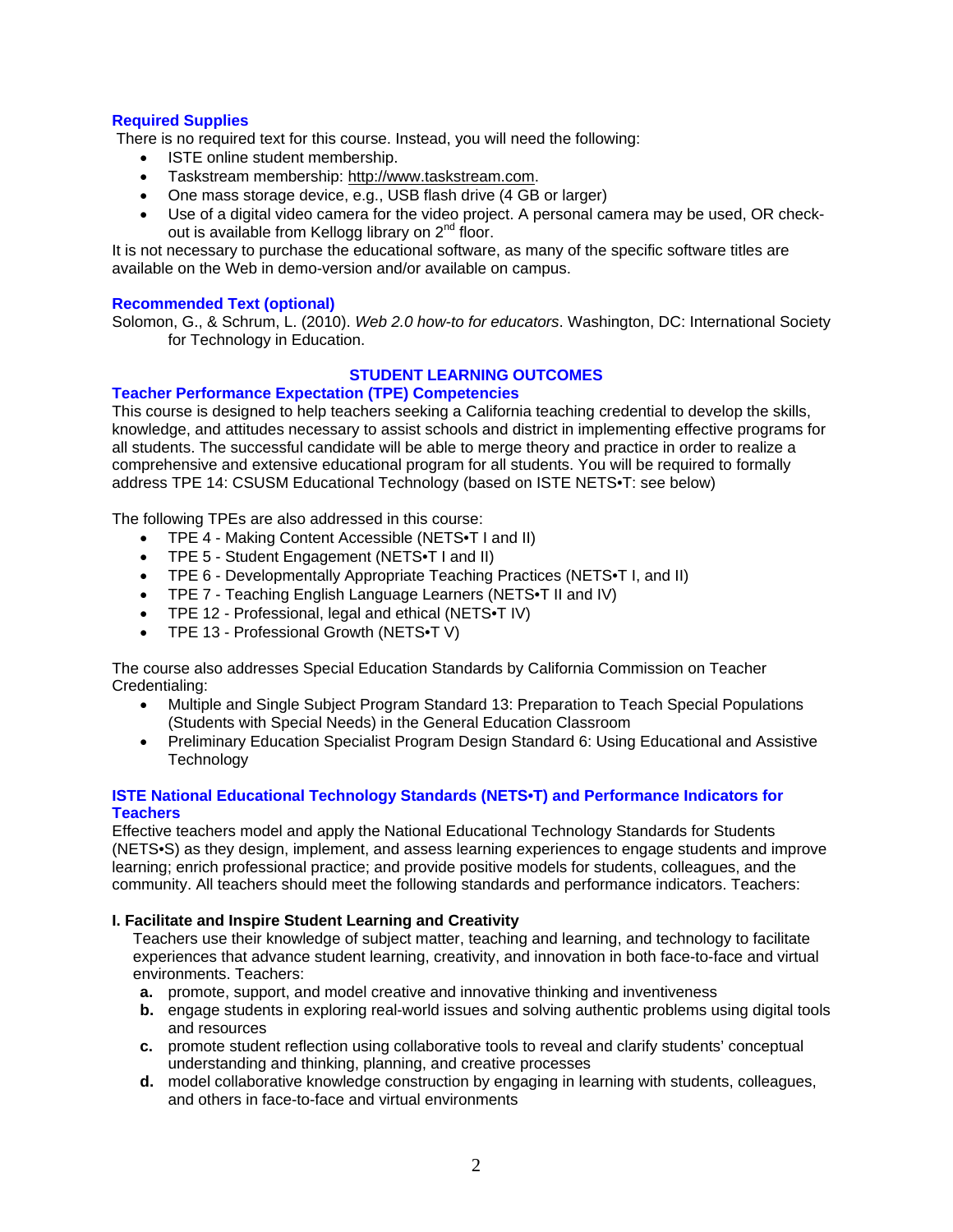# **Required Supplies**

There is no required text for this course. Instead, you will need the following:

- ISTE online student membership.
- Taskstream membership: http://www.taskstream.com.
- One mass storage device, e.g., USB flash drive (4 GB or larger)
- Use of a digital video camera for the video project. A personal camera may be used, OR checkout is available from Kellogg library on  $2^{nd}$  floor.

It is not necessary to purchase the educational software, as many of the specific software titles are available on the Web in demo-version and/or available on campus.

#### **Recommended Text (optional)**

Solomon, G., & Schrum, L. (2010). *Web 2.0 how-to for educators*. Washington, DC: International Society for Technology in Education.

# **STUDENT LEARNING OUTCOMES**

# **Teacher Performance Expectation (TPE) Competencies**

This course is designed to help teachers seeking a California teaching credential to develop the skills, knowledge, and attitudes necessary to assist schools and district in implementing effective programs for all students. The successful candidate will be able to merge theory and practice in order to realize a comprehensive and extensive educational program for all students. You will be required to formally address TPE 14: CSUSM Educational Technology (based on ISTE NETS•T: see below)

The following TPEs are also addressed in this course:

- TPE 4 Making Content Accessible (NETS•T I and II)
- TPE 5 Student Engagement (NETS•T I and II)
- TPE 6 Developmentally Appropriate Teaching Practices (NETS•T I, and II)
- TPE 7 Teaching English Language Learners (NETS•T II and IV)
- TPE 12 Professional, legal and ethical (NETS•T IV)
- TPE 13 Professional Growth (NETS•T V)

The course also addresses Special Education Standards by California Commission on Teacher Credentialing:

- Multiple and Single Subject Program Standard 13: Preparation to Teach Special Populations (Students with Special Needs) in the General Education Classroom
- Preliminary Education Specialist Program Design Standard 6: Using Educational and Assistive **Technology**

# **ISTE National Educational Technology Standards (NETS•T) and Performance Indicators for Teachers**

Effective teachers model and apply the National Educational Technology Standards for Students (NETS•S) as they design, implement, and assess learning experiences to engage students and improve learning; enrich professional practice; and provide positive models for students, colleagues, and the community. All teachers should meet the following standards and performance indicators. Teachers:

#### **I. Facilitate and Inspire Student Learning and Creativity**

Teachers use their knowledge of subject matter, teaching and learning, and technology to facilitate experiences that advance student learning, creativity, and innovation in both face-to-face and virtual environments. Teachers:

- **a.** promote, support, and model creative and innovative thinking and inventiveness
- **b.** engage students in exploring real-world issues and solving authentic problems using digital tools and resources
- **c.** promote student reflection using collaborative tools to reveal and clarify students' conceptual understanding and thinking, planning, and creative processes
- **d.** model collaborative knowledge construction by engaging in learning with students, colleagues, and others in face-to-face and virtual environments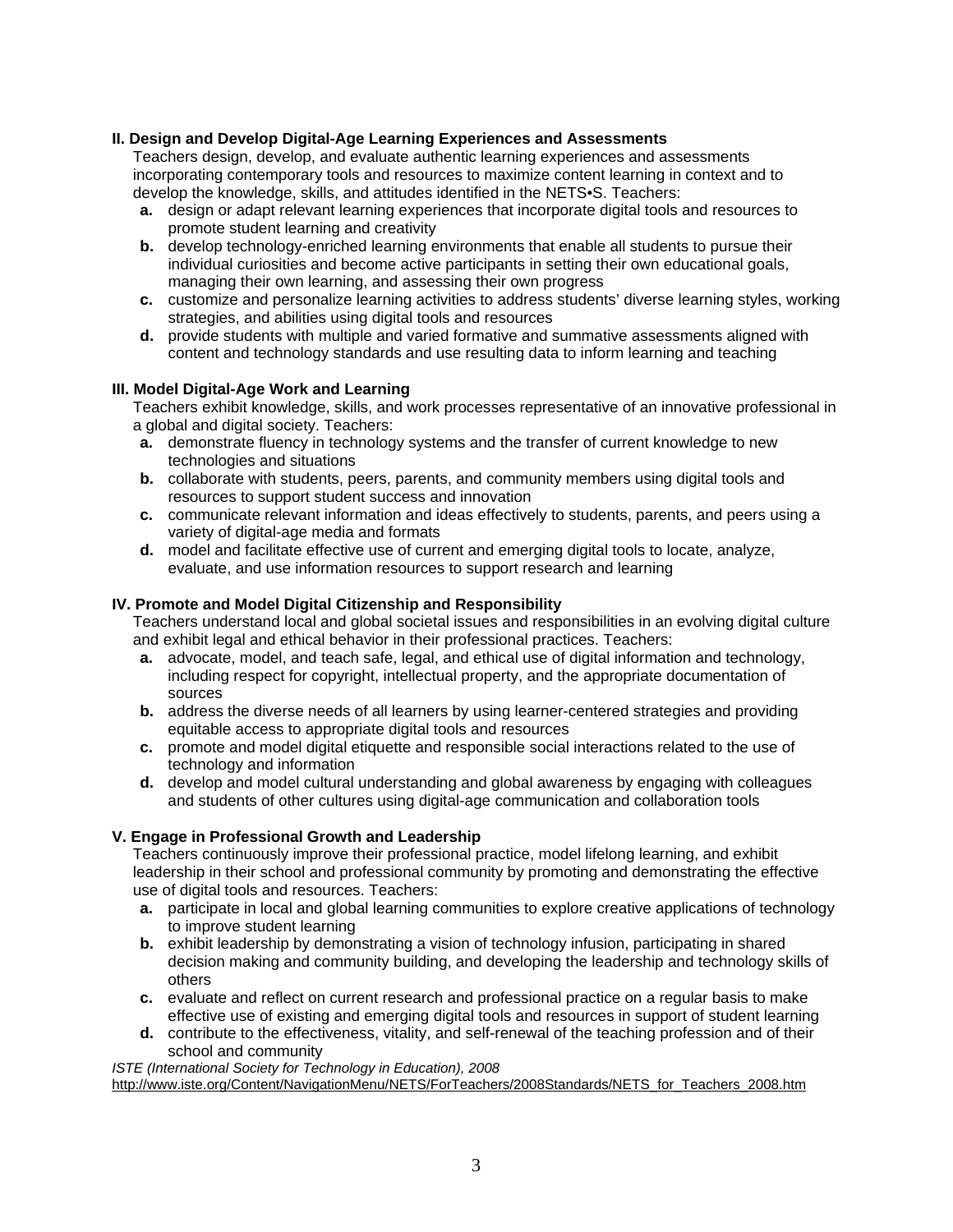# **II. Design and Develop Digital-Age Learning Experiences and Assessments**

Teachers design, develop, and evaluate authentic learning experiences and assessments incorporating contemporary tools and resources to maximize content learning in context and to develop the knowledge, skills, and attitudes identified in the NETS•S. Teachers:

- **a.** design or adapt relevant learning experiences that incorporate digital tools and resources to promote student learning and creativity
- **b.** develop technology-enriched learning environments that enable all students to pursue their individual curiosities and become active participants in setting their own educational goals, managing their own learning, and assessing their own progress
- **c.** customize and personalize learning activities to address students' diverse learning styles, working strategies, and abilities using digital tools and resources
- **d.** provide students with multiple and varied formative and summative assessments aligned with content and technology standards and use resulting data to inform learning and teaching

# **III. Model Digital-Age Work and Learning**

Teachers exhibit knowledge, skills, and work processes representative of an innovative professional in a global and digital society. Teachers:

- **a.** demonstrate fluency in technology systems and the transfer of current knowledge to new technologies and situations
- **b.** collaborate with students, peers, parents, and community members using digital tools and resources to support student success and innovation
- **c.** communicate relevant information and ideas effectively to students, parents, and peers using a variety of digital-age media and formats
- **d.** model and facilitate effective use of current and emerging digital tools to locate, analyze, evaluate, and use information resources to support research and learning

# **IV. Promote and Model Digital Citizenship and Responsibility**

Teachers understand local and global societal issues and responsibilities in an evolving digital culture and exhibit legal and ethical behavior in their professional practices. Teachers:

- **a.** advocate, model, and teach safe, legal, and ethical use of digital information and technology, including respect for copyright, intellectual property, and the appropriate documentation of sources
- **b.** address the diverse needs of all learners by using learner-centered strategies and providing equitable access to appropriate digital tools and resources
- **c.** promote and model digital etiquette and responsible social interactions related to the use of technology and information
- **d.** develop and model cultural understanding and global awareness by engaging with colleagues and students of other cultures using digital-age communication and collaboration tools

# **V. Engage in Professional Growth and Leadership**

Teachers continuously improve their professional practice, model lifelong learning, and exhibit leadership in their school and professional community by promoting and demonstrating the effective use of digital tools and resources. Teachers:

- **a.** participate in local and global learning communities to explore creative applications of technology to improve student learning
- **b.** exhibit leadership by demonstrating a vision of technology infusion, participating in shared decision making and community building, and developing the leadership and technology skills of others
- **c.** evaluate and reflect on current research and professional practice on a regular basis to make effective use of existing and emerging digital tools and resources in support of student learning
- **d.** contribute to the effectiveness, vitality, and self-renewal of the teaching profession and of their school and community

*ISTE (International Society for Technology in Education), 2008*  http://www.iste.org/Content/NavigationMenu/NETS/ForTeachers/2008Standards/NETS\_for\_Teachers\_2008.htm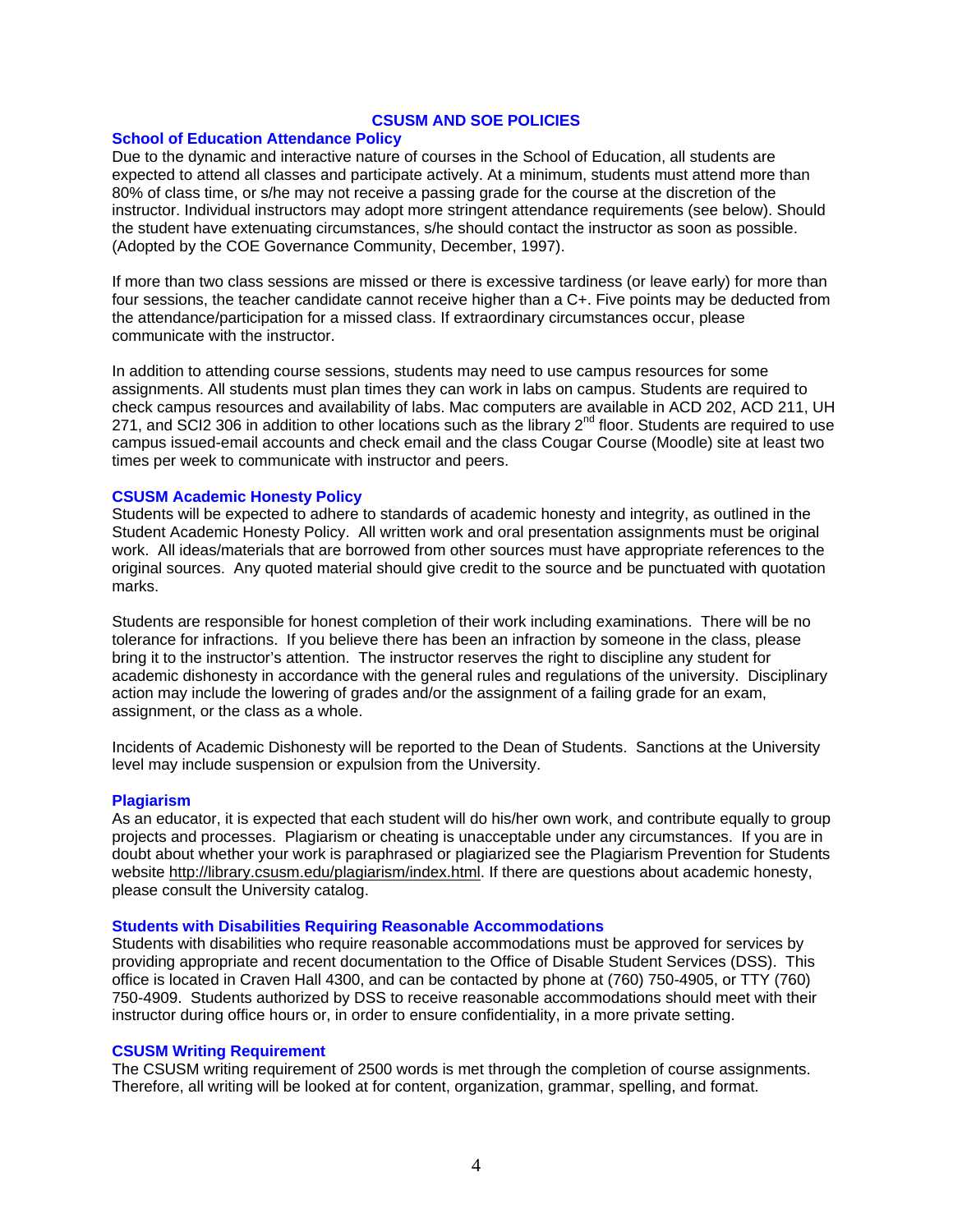# **CSUSM AND SOE POLICIES**

#### **School of Education Attendance Policy**

Due to the dynamic and interactive nature of courses in the School of Education, all students are expected to attend all classes and participate actively. At a minimum, students must attend more than 80% of class time, or s/he may not receive a passing grade for the course at the discretion of the instructor. Individual instructors may adopt more stringent attendance requirements (see below). Should the student have extenuating circumstances, s/he should contact the instructor as soon as possible. (Adopted by the COE Governance Community, December, 1997).

If more than two class sessions are missed or there is excessive tardiness (or leave early) for more than four sessions, the teacher candidate cannot receive higher than a C+. Five points may be deducted from the attendance/participation for a missed class. If extraordinary circumstances occur, please communicate with the instructor.

In addition to attending course sessions, students may need to use campus resources for some assignments. All students must plan times they can work in labs on campus. Students are required to check campus resources and availability of labs. Mac computers are available in ACD 202, ACD 211, UH 271, and SCI2 306 in addition to other locations such as the library  $2^{nd}$  floor. Students are required to use campus issued-email accounts and check email and the class Cougar Course (Moodle) site at least two times per week to communicate with instructor and peers.

#### **CSUSM Academic Honesty Policy**

Students will be expected to adhere to standards of academic honesty and integrity, as outlined in the Student Academic Honesty Policy. All written work and oral presentation assignments must be original work. All ideas/materials that are borrowed from other sources must have appropriate references to the original sources. Any quoted material should give credit to the source and be punctuated with quotation marks.

Students are responsible for honest completion of their work including examinations. There will be no tolerance for infractions. If you believe there has been an infraction by someone in the class, please bring it to the instructor's attention. The instructor reserves the right to discipline any student for academic dishonesty in accordance with the general rules and regulations of the university. Disciplinary action may include the lowering of grades and/or the assignment of a failing grade for an exam, assignment, or the class as a whole.

Incidents of Academic Dishonesty will be reported to the Dean of Students. Sanctions at the University level may include suspension or expulsion from the University.

#### **Plagiarism**

As an educator, it is expected that each student will do his/her own work, and contribute equally to group projects and processes. Plagiarism or cheating is unacceptable under any circumstances. If you are in doubt about whether your work is paraphrased or plagiarized see the Plagiarism Prevention for Students website http://library.csusm.edu/plagiarism/index.html. If there are questions about academic honesty, please consult the University catalog.

#### **Students with Disabilities Requiring Reasonable Accommodations**

Students with disabilities who require reasonable accommodations must be approved for services by providing appropriate and recent documentation to the Office of Disable Student Services (DSS). This office is located in Craven Hall 4300, and can be contacted by phone at (760) 750-4905, or TTY (760) 750-4909. Students authorized by DSS to receive reasonable accommodations should meet with their instructor during office hours or, in order to ensure confidentiality, in a more private setting.

#### **CSUSM Writing Requirement**

The CSUSM writing requirement of 2500 words is met through the completion of course assignments. Therefore, all writing will be looked at for content, organization, grammar, spelling, and format.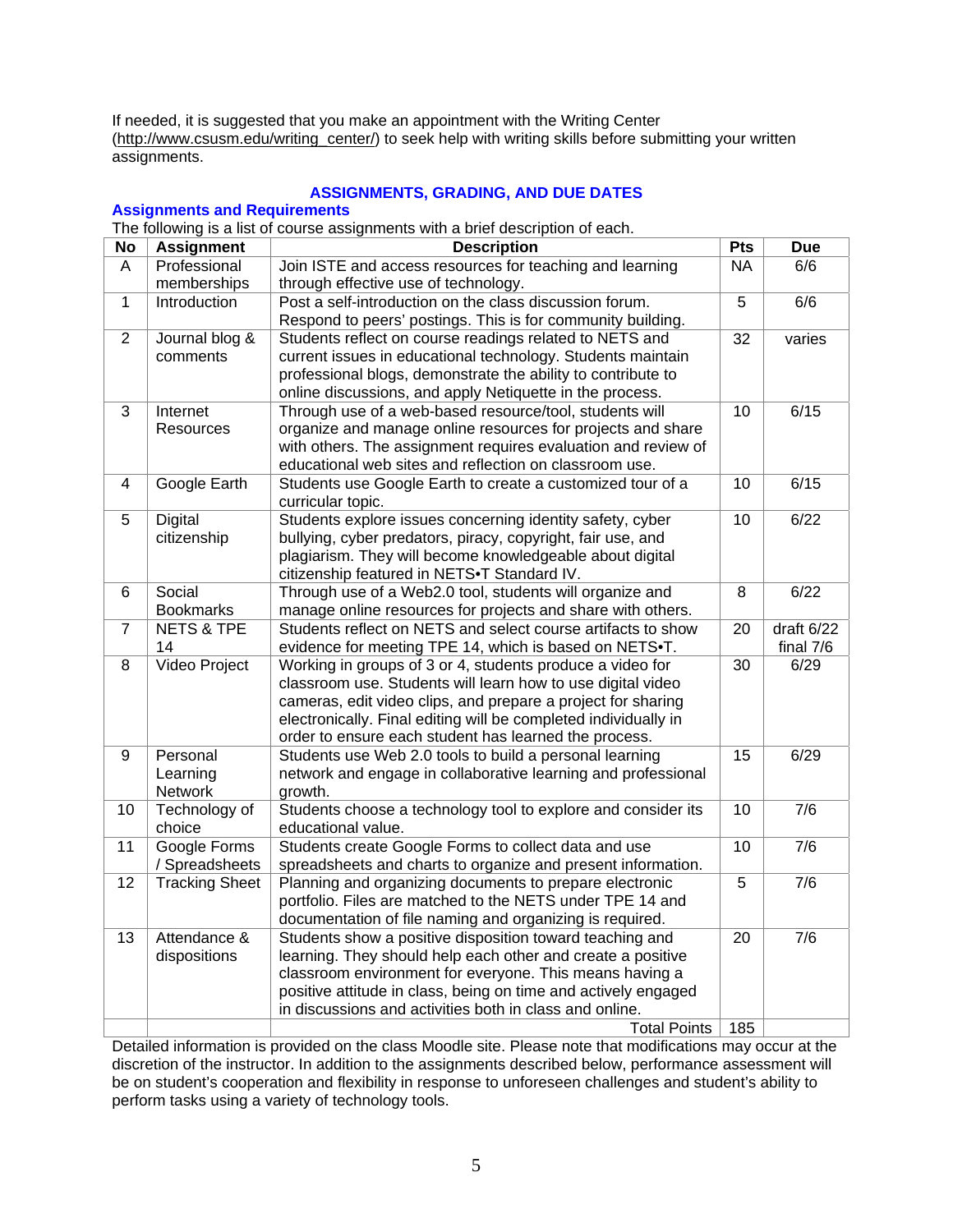If needed, it is suggested that you make an appointment with the Writing Center (http://www.csusm.edu/writing\_center/) to seek help with writing skills before submitting your written assignments.

# **ASSIGNMENTS, GRADING, AND DUE DATES**

# **Assignments and Requirements**

The following is a list of course assignments with a brief description of each.

| No                      | <b>Assignment</b>                                                         | <b>Description</b>                                              | Pts             | <b>Due</b>       |
|-------------------------|---------------------------------------------------------------------------|-----------------------------------------------------------------|-----------------|------------------|
| $\overline{A}$          | Professional                                                              | Join ISTE and access resources for teaching and learning        | <b>NA</b>       | 6/6              |
|                         | memberships                                                               | through effective use of technology.                            |                 |                  |
| $\mathbf{1}$            | Introduction                                                              | Post a self-introduction on the class discussion forum.         |                 | 6/6              |
|                         |                                                                           | Respond to peers' postings. This is for community building.     |                 |                  |
| $\overline{2}$          | Students reflect on course readings related to NETS and<br>Journal blog & |                                                                 | 32              | varies           |
|                         | comments                                                                  | current issues in educational technology. Students maintain     |                 |                  |
|                         |                                                                           | professional blogs, demonstrate the ability to contribute to    |                 |                  |
|                         |                                                                           | online discussions, and apply Netiquette in the process.        |                 |                  |
| 3                       | Through use of a web-based resource/tool, students will<br>Internet       |                                                                 | 10              | 6/15             |
|                         | Resources                                                                 | organize and manage online resources for projects and share     |                 |                  |
|                         |                                                                           | with others. The assignment requires evaluation and review of   |                 |                  |
|                         |                                                                           | educational web sites and reflection on classroom use.          |                 |                  |
| $\overline{\mathbf{4}}$ | Google Earth                                                              | Students use Google Earth to create a customized tour of a      | 10              | 6/15             |
|                         |                                                                           | curricular topic.                                               |                 |                  |
| 5                       | Digital                                                                   | Students explore issues concerning identity safety, cyber       | 10              | 6/22             |
|                         | citizenship                                                               | bullying, cyber predators, piracy, copyright, fair use, and     |                 |                  |
|                         |                                                                           | plagiarism. They will become knowledgeable about digital        |                 |                  |
|                         |                                                                           | citizenship featured in NETS.T Standard IV.                     |                 |                  |
| $6\phantom{1}$          | Social                                                                    | Through use of a Web2.0 tool, students will organize and        | 8               | 6/22             |
|                         | <b>Bookmarks</b>                                                          | manage online resources for projects and share with others.     |                 |                  |
| $\overline{7}$          | <b>NETS &amp; TPE</b>                                                     | Students reflect on NETS and select course artifacts to show    | 20              | draft 6/22       |
|                         | 14                                                                        | evidence for meeting TPE 14, which is based on NETS.T.          |                 | final $7/6$      |
| 8                       | <b>Video Project</b>                                                      | Working in groups of 3 or 4, students produce a video for       | $\overline{30}$ | 6/29             |
|                         |                                                                           | classroom use. Students will learn how to use digital video     |                 |                  |
|                         |                                                                           | cameras, edit video clips, and prepare a project for sharing    |                 |                  |
|                         |                                                                           | electronically. Final editing will be completed individually in |                 |                  |
|                         |                                                                           | order to ensure each student has learned the process.           |                 |                  |
| 9                       | Personal                                                                  | Students use Web 2.0 tools to build a personal learning         | 15              | 6/29             |
|                         | Learning                                                                  | network and engage in collaborative learning and professional   |                 |                  |
|                         | <b>Network</b>                                                            | growth.                                                         |                 |                  |
| 10                      | Technology of                                                             | Students choose a technology tool to explore and consider its   | 10              | 7/6              |
|                         | choice                                                                    | educational value.                                              |                 |                  |
| 11                      | Google Forms                                                              | Students create Google Forms to collect data and use            | 10              | 7/6              |
|                         | / Spreadsheets                                                            | spreadsheets and charts to organize and present information.    |                 |                  |
| 12                      | <b>Tracking Sheet</b>                                                     | Planning and organizing documents to prepare electronic         | 5               | $\overline{7/6}$ |
|                         |                                                                           | portfolio. Files are matched to the NETS under TPE 14 and       |                 |                  |
|                         |                                                                           | documentation of file naming and organizing is required.        |                 |                  |
| 13                      | Attendance &                                                              | Students show a positive disposition toward teaching and        | 20              | 7/6              |
|                         | dispositions                                                              | learning. They should help each other and create a positive     |                 |                  |
|                         |                                                                           | classroom environment for everyone. This means having a         |                 |                  |
|                         |                                                                           | positive attitude in class, being on time and actively engaged  |                 |                  |
|                         |                                                                           | in discussions and activities both in class and online.         |                 |                  |
|                         |                                                                           | <b>Total Points</b>                                             | 185             |                  |

Detailed information is provided on the class Moodle site. Please note that modifications may occur at the discretion of the instructor. In addition to the assignments described below, performance assessment will be on student's cooperation and flexibility in response to unforeseen challenges and student's ability to perform tasks using a variety of technology tools.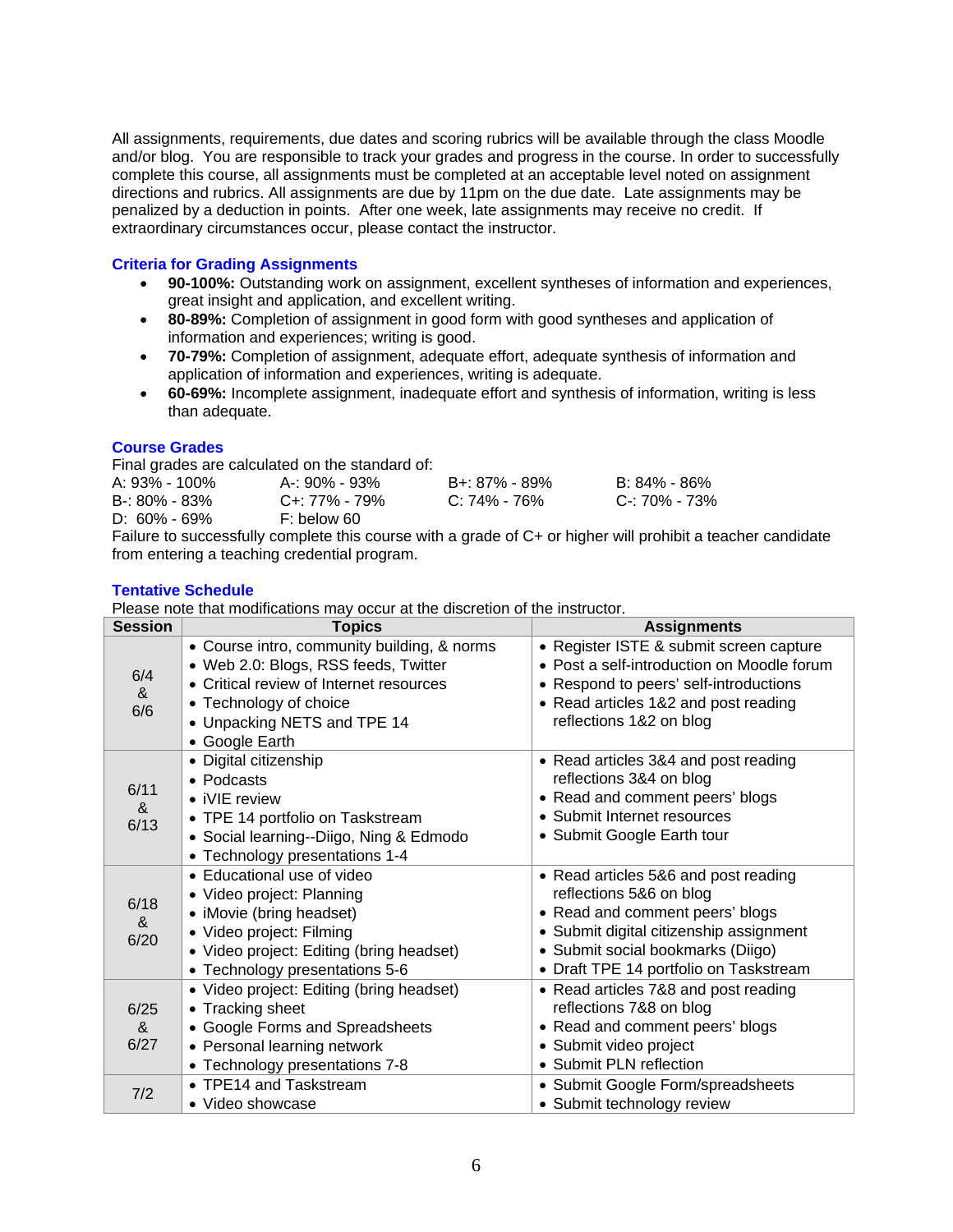All assignments, requirements, due dates and scoring rubrics will be available through the class Moodle and/or blog. You are responsible to track your grades and progress in the course. In order to successfully complete this course, all assignments must be completed at an acceptable level noted on assignment directions and rubrics. All assignments are due by 11pm on the due date. Late assignments may be penalized by a deduction in points. After one week, late assignments may receive no credit. If extraordinary circumstances occur, please contact the instructor.

# **Criteria for Grading Assignments**

- great insight and application, and excellent writing. **90-100%:** Outstanding work on assignment, excellent syntheses of information and experiences,
- **80-89%:** Completion of assignment in good form with good syntheses and application of information and experiences; writing is good.
- **70-79%:** Completion of assignment, adequate effort, adequate synthesis of information and application of information and experiences, writing is adequate.
- **60-69%:** Incomplete assignment, inadequate effort and synthesis of information, writing is less than adequate.

# **Course Grades**

Final grades are calculated on the standard of:

| A: 93% - 100%    | A-: 90% - 93% | B+: 87% - 89% | B: 84% - 86%  |
|------------------|---------------|---------------|---------------|
| B-: 80% - 83%    | C+: 77% - 79% | C: 74% - 76%  | C-: 70% - 73% |
| $D: 60\% - 69\%$ | F: below 60   |               |               |
|                  |               |               |               |

Failure to successfully complete this course with a grade of C+ or higher will prohibit a teacher candidate from entering a teaching credential program.

#### **Tentative Schedule**

Please note that modifications may occur at the discretion of the instructor.

| <b>Session</b>                 | <b>Topics</b>                                                                                                                                                                                             | <b>Assignments</b>                                                                                                                                                                                                           |
|--------------------------------|-----------------------------------------------------------------------------------------------------------------------------------------------------------------------------------------------------------|------------------------------------------------------------------------------------------------------------------------------------------------------------------------------------------------------------------------------|
| 6/4<br>&<br>6/6                | • Course intro, community building, & norms<br>• Web 2.0: Blogs, RSS feeds, Twitter<br>• Critical review of Internet resources<br>• Technology of choice<br>• Unpacking NETS and TPE 14<br>• Google Earth | • Register ISTE & submit screen capture<br>• Post a self-introduction on Moodle forum<br>• Respond to peers' self-introductions<br>• Read articles 1&2 and post reading<br>reflections 1&2 on blog                           |
| 6/11<br>&<br>6/13              | • Digital citizenship<br>• Podcasts<br>• iVIE review<br>• TPE 14 portfolio on Taskstream<br>• Social learning--Diigo, Ning & Edmodo<br>• Technology presentations 1-4                                     | • Read articles 3&4 and post reading<br>reflections 3&4 on blog<br>• Read and comment peers' blogs<br>• Submit Internet resources<br>• Submit Google Earth tour                                                              |
| 6/18<br>&<br>6/20              | • Educational use of video<br>• Video project: Planning<br>• iMovie (bring headset)<br>• Video project: Filming<br>• Video project: Editing (bring headset)<br>• Technology presentations 5-6             | • Read articles 5&6 and post reading<br>reflections 5&6 on blog<br>• Read and comment peers' blogs<br>• Submit digital citizenship assignment<br>• Submit social bookmarks (Diigo)<br>• Draft TPE 14 portfolio on Taskstream |
| 6/25<br>8 <sub>o</sub><br>6/27 | • Video project: Editing (bring headset)<br>• Tracking sheet<br>• Google Forms and Spreadsheets<br>• Personal learning network<br>• Technology presentations 7-8                                          | • Read articles 7&8 and post reading<br>reflections 7&8 on blog<br>• Read and comment peers' blogs<br>• Submit video project<br>• Submit PLN reflection                                                                      |
| 7/2                            | • TPE14 and Taskstream<br>• Video showcase                                                                                                                                                                | • Submit Google Form/spreadsheets<br>· Submit technology review                                                                                                                                                              |